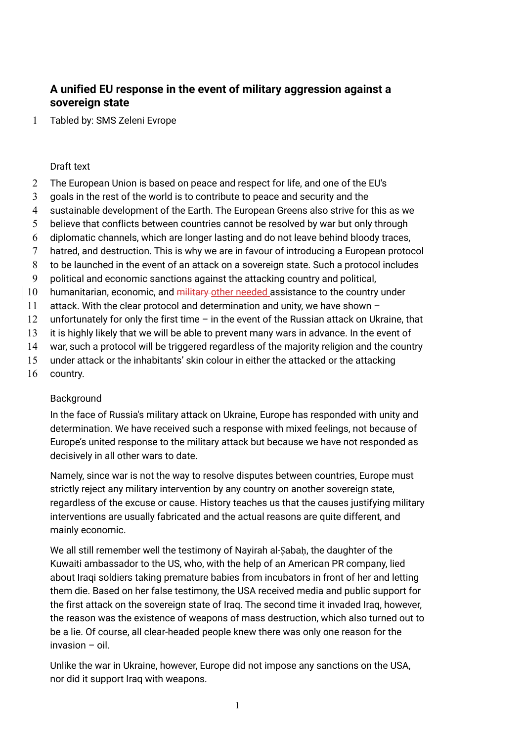## **A unified EU response in the event of military aggression against a sovereign state**

1 Tabled by: SMS Zeleni Evrope

## Draft text

- 2 The European Union is based on peace and respect for life, and one of the EU's
- 3 goals in the rest of the world is to contribute to peace and security and the
- 4 sustainable development of the Earth. The European Greens also strive for this as we
- 5 believe that conflicts between countries cannot be resolved by war but only through
- 6 diplomatic channels, which are longer lasting and do not leave behind bloody traces,
- 7 hatred, and destruction. This is why we are in favour of introducing a European protocol
- 8 to be launched in the event of an attack on a sovereign state. Such a protocol includes
- 9 political and economic sanctions against the attacking country and political,
- 10 humanitarian, economic, and military other needed assistance to the country under
- 11 attack. With the clear protocol and determination and unity, we have shown –
- 12 unfortunately for only the first time in the event of the Russian attack on Ukraine, that
- 13 it is highly likely that we will be able to prevent many wars in advance. In the event of
- 14 war, such a protocol will be triggered regardless of the majority religion and the country
- 15 under attack or the inhabitants' skin colour in either the attacked or the attacking
- 16 country.

## Background

In the face of Russia's military attack on Ukraine, Europe has responded with unity and determination. We have received such a response with mixed feelings, not because of Europe's united response to the military attack but because we have not responded as decisively in all other wars to date.

Namely, since war is not the way to resolve disputes between countries, Europe must strictly reject any military intervention by any country on another sovereign state, regardless of the excuse or cause. History teaches us that the causes justifying military interventions are usually fabricated and the actual reasons are quite different, and mainly economic.

We all still remember well the testimony of Nayirah al-Şabah, the daughter of the Kuwaiti ambassador to the US, who, with the help of an American PR company, lied about Iraqi soldiers taking premature babies from incubators in front of her and letting them die. Based on her false testimony, the USA received media and public support for the first attack on the sovereign state of Iraq. The second time it invaded Iraq, however, the reason was the existence of weapons of mass destruction, which also turned out to be a lie. Of course, all clear-headed people knew there was only one reason for the invasion – oil.

Unlike the war in Ukraine, however, Europe did not impose any sanctions on the USA, nor did it support Iraq with weapons.